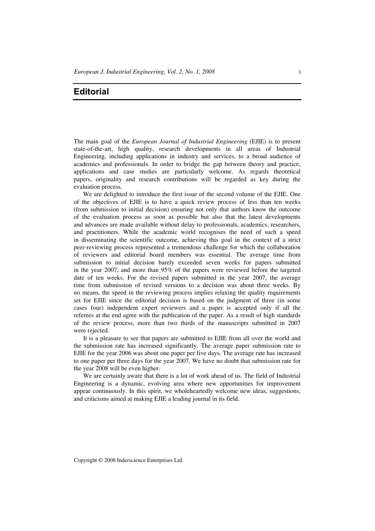## **Editorial**

The main goal of the *European Journal of Industrial Engineering* (EJIE) is to present state-of-the-art, high quality, research developments in all areas of Industrial Engineering, including applications in industry and services, to a broad audience of academics and professionals. In order to bridge the gap between theory and practice, applications and case studies are particularly welcome. As regards theoretical papers, originality and research contributions will be regarded as key during the evaluation process.

We are delighted to introduce the first issue of the second volume of the EJIE. One of the objectives of EJIE is to have a quick review process of less than ten weeks (from submission to initial decision) ensuring not only that authors know the outcome of the evaluation process as soon as possible but also that the latest developments and advances are made available without delay to professionals, academics, researchers, and practitioners. While the academic world recognises the need of such a speed in disseminating the scientific outcome, achieving this goal in the context of a strict peer-reviewing process represented a tremendous challenge for which the collaboration of reviewers and editorial board members was essential. The average time from submission to initial decision barely exceeded seven weeks for papers submitted in the year 2007, and more than 95% of the papers were reviewed before the targeted date of ten weeks. For the revised papers submitted in the year 2007, the average time from submission of revised versions to a decision was about three weeks. By no means, the speed in the reviewing process implies relaxing the quality requirements set for EJIE since the editorial decision is based on the judgment of three (in some cases four) independent expert reviewers and a paper is accepted only if all the referees at the end agree with the publication of the paper. As a result of high standards of the review process, more than two thirds of the manuscripts submitted in 2007 were rejected.

It is a pleasure to see that papers are submitted to EJIE from all over the world and the submission rate has increased significantly. The average paper submission rate to EJIE for the year 2006 was about one paper per five days. The average rate has increased to one paper per three days for the year 2007. We have no doubt that submission rate for the year 2008 will be even higher.

We are certainly aware that there is a lot of work ahead of us. The field of Industrial Engineering is a dynamic, evolving area where new opportunities for improvement appear continuously. In this spirit, we wholeheartedly welcome new ideas, suggestions, and criticisms aimed at making EJIE a leading journal in its field.